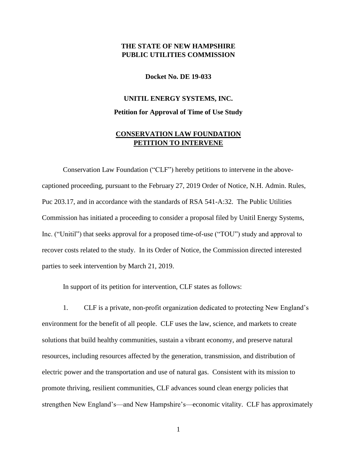## **THE STATE OF NEW HAMPSHIRE PUBLIC UTILITIES COMMISSION**

**Docket No. DE 19-033**

## **UNITIL ENERGY SYSTEMS, INC. Petition for Approval of Time of Use Study**

## **CONSERVATION LAW FOUNDATION PETITION TO INTERVENE**

Conservation Law Foundation ("CLF") hereby petitions to intervene in the abovecaptioned proceeding, pursuant to the February 27, 2019 Order of Notice, N.H. Admin. Rules, Puc 203.17, and in accordance with the standards of RSA 541-A:32. The Public Utilities Commission has initiated a proceeding to consider a proposal filed by Unitil Energy Systems, Inc. ("Unitil") that seeks approval for a proposed time-of-use ("TOU") study and approval to recover costs related to the study. In its Order of Notice, the Commission directed interested parties to seek intervention by March 21, 2019.

In support of its petition for intervention, CLF states as follows:

1. CLF is a private, non-profit organization dedicated to protecting New England's environment for the benefit of all people. CLF uses the law, science, and markets to create solutions that build healthy communities, sustain a vibrant economy, and preserve natural resources, including resources affected by the generation, transmission, and distribution of electric power and the transportation and use of natural gas. Consistent with its mission to promote thriving, resilient communities, CLF advances sound clean energy policies that strengthen New England's—and New Hampshire's—economic vitality. CLF has approximately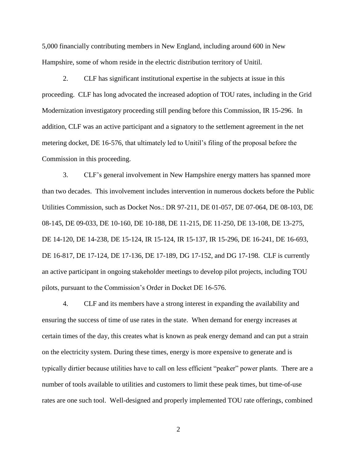5,000 financially contributing members in New England, including around 600 in New Hampshire, some of whom reside in the electric distribution territory of Unitil.

2. CLF has significant institutional expertise in the subjects at issue in this proceeding. CLF has long advocated the increased adoption of TOU rates, including in the Grid Modernization investigatory proceeding still pending before this Commission, IR 15-296. In addition, CLF was an active participant and a signatory to the settlement agreement in the net metering docket, DE 16-576, that ultimately led to Unitil's filing of the proposal before the Commission in this proceeding.

3. CLF's general involvement in New Hampshire energy matters has spanned more than two decades. This involvement includes intervention in numerous dockets before the Public Utilities Commission, such as Docket Nos.: DR 97-211, DE 01-057, DE 07-064, DE 08-103, DE 08-145, DE 09-033, DE 10-160, DE 10-188, DE 11-215, DE 11-250, DE 13-108, DE 13-275, DE 14-120, DE 14-238, DE 15-124, IR 15-124, IR 15-137, IR 15-296, DE 16-241, DE 16-693, DE 16-817, DE 17-124, DE 17-136, DE 17-189, DG 17-152, and DG 17-198. CLF is currently an active participant in ongoing stakeholder meetings to develop pilot projects, including TOU pilots, pursuant to the Commission's Order in Docket DE 16-576.

4. CLF and its members have a strong interest in expanding the availability and ensuring the success of time of use rates in the state. When demand for energy increases at certain times of the day, this creates what is known as peak energy demand and can put a strain on the electricity system. During these times, energy is more expensive to generate and is typically dirtier because utilities have to call on less efficient "peaker" power plants. There are a number of tools available to utilities and customers to limit these peak times, but time-of-use rates are one such tool. Well-designed and properly implemented TOU rate offerings, combined

2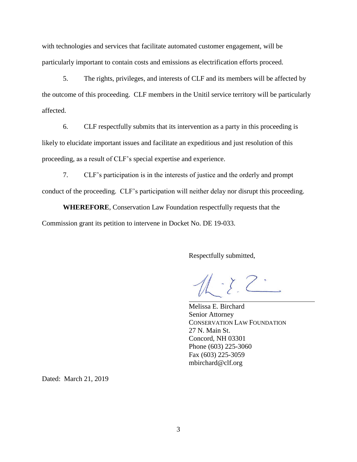with technologies and services that facilitate automated customer engagement, will be particularly important to contain costs and emissions as electrification efforts proceed.

5. The rights, privileges, and interests of CLF and its members will be affected by the outcome of this proceeding. CLF members in the Unitil service territory will be particularly affected.

6. CLF respectfully submits that its intervention as a party in this proceeding is likely to elucidate important issues and facilitate an expeditious and just resolution of this proceeding, as a result of CLF's special expertise and experience.

7. CLF's participation is in the interests of justice and the orderly and prompt conduct of the proceeding. CLF's participation will neither delay nor disrupt this proceeding.

**WHEREFORE**, Conservation Law Foundation respectfully requests that the Commission grant its petition to intervene in Docket No. DE 19-033.

Respectfully submitted,

 $11 - 22$ 

Melissa E. Birchard Senior Attorney CONSERVATION LAW FOUNDATION 27 N. Main St. Concord, NH 03301 Phone (603) 225-3060 Fax (603) 225-3059 mbirchard@clf.org

Dated: March 21, 2019